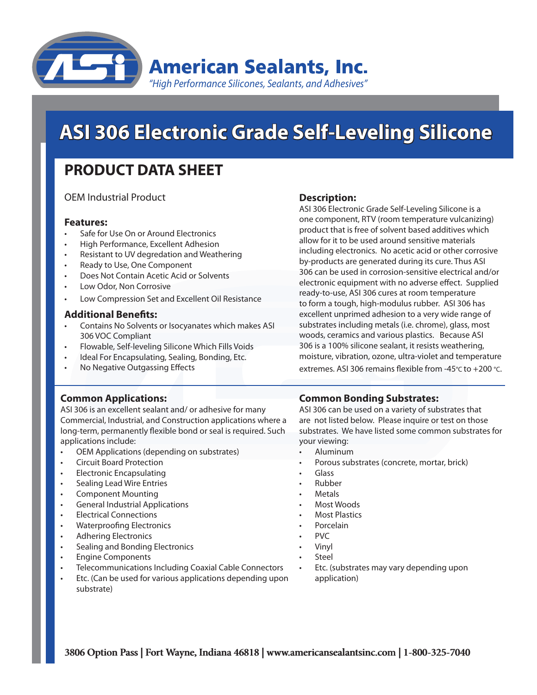

# **PRODUCT DATA SHEET**

OEM Industrial Product

#### **Features:**

- Safe for Use On or Around Electronics
- High Performance, Excellent Adhesion
- Resistant to UV degredation and Weathering
- Ready to Use, One Component
- Does Not Contain Acetic Acid or Solvents
- Low Odor, Non Corrosive
- Low Compression Set and Excellent Oil Resistance

#### **Additional Benefits:**

- Contains No Solvents or Isocyanates which makes ASI 306 VOC Compliant
- Flowable, Self-leveling Silicone Which Fills Voids
- Ideal For Encapsulating, Sealing, Bonding, Etc.
- No Negative Outgassing Effects

#### **Description:**

**ASI 306 Electronic Grade Self-Leveling Silicone**<br> **PRODUCT DATA SHEET**<br>
CEM Industrial Product and Externes and Externes concerns and the component and product and<br> **Festivals**<br> **Festivals**<br> **Festivals**<br> **Festivals**<br> **Fes** ASI 306 Electronic Grade Self-Leveling Silicone is a one component, RTV (room temperature vulcanizing) product that is free of solvent based additives which allow for it to be used around sensitive materials including electronics. No acetic acid or other corrosive by-products are generated during its cure. Thus ASI 306 can be used in corrosion-sensitive electrical and/or electronic equipment with no adverse effect. Supplied ready-to-use, ASI 306 cures at room temperature to form a tough, high-modulus rubber. ASI 306 has excellent unprimed adhesion to a very wide range of substrates including metals (i.e. chrome), glass, most woods, ceramics and various plastics. Because ASI 306 is a 100% silicone sealant, it resists weathering, moisture, vibration, ozone, ultra-violet and temperature extremes. ASI 306 remains flexible from -45°C to +200 °C.

#### **Common Applications:**

ASI 306 is an excellent sealant and/ or adhesive for many Commercial, Industrial, and Construction applications where a long-term, permanently flexible bond or seal is required. Such applications include:

- OEM Applications (depending on substrates)
- **Circuit Board Protection**
- **Electronic Encapsulating**
- **Sealing Lead Wire Entries**
- Component Mounting
- **General Industrial Applications**
- **Electrical Connections**
- **Waterproofing Electronics**
- **Adhering Electronics**
- Sealing and Bonding Electronics
- **Engine Components**
- Telecommunications Including Coaxial Cable Connectors
- Etc. (Can be used for various applications depending upon substrate)

# **Common Bonding Substrates:**

ASI 306 can be used on a variety of substrates that are not listed below. Please inquire or test on those substrates. We have listed some common substrates for your viewing:

- **Aluminum**
- Porous substrates (concrete, mortar, brick)
- Glass
- **Rubber**
- **Metals**
- Most Woods
- **Most Plastics**
- **Porcelain**
- PVC
- **Vinyl**
- **Steel** 
	- Etc. (substrates may vary depending upon application)